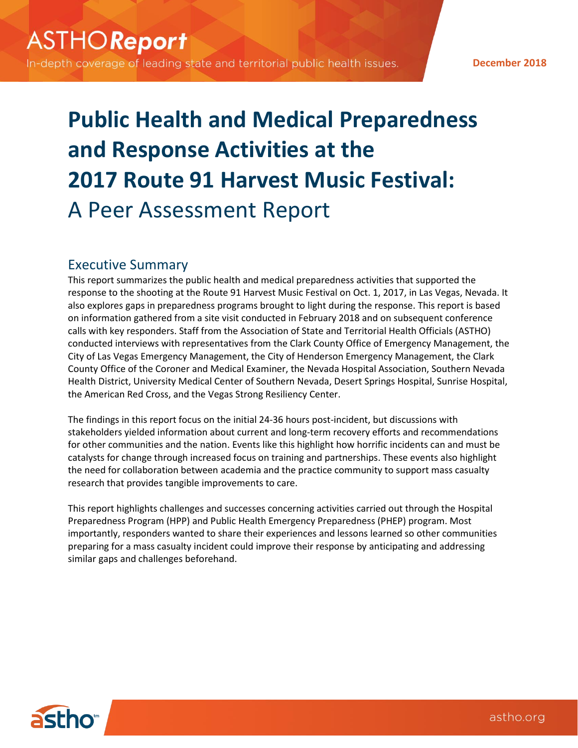In-depth coverage of leading state and territorial public health issues.

**December 2018**

# **Public Health and Medical Preparedness and Response Activities at the 2017 Route 91 Harvest Music Festival:** A Peer Assessment Report

## Executive Summary

This report summarizes the public health and medical preparedness activities that supported the response to the shooting at the Route 91 Harvest Music Festival on Oct. 1, 2017, in Las Vegas, Nevada. It also explores gaps in preparedness programs brought to light during the response. This report is based on information gathered from a site visit conducted in February 2018 and on subsequent conference calls with key responders. Staff from the Association of State and Territorial Health Officials (ASTHO) conducted interviews with representatives from the Clark County Office of Emergency Management, the City of Las Vegas Emergency Management, the City of Henderson Emergency Management, the Clark County Office of the Coroner and Medical Examiner, the Nevada Hospital Association, Southern Nevada Health District, University Medical Center of Southern Nevada, Desert Springs Hospital, Sunrise Hospital, the American Red Cross, and the Vegas Strong Resiliency Center.

The findings in this report focus on the initial 24‐36 hours post-incident, but discussions with stakeholders yielded information about current and long-term recovery efforts and recommendations for other communities and the nation. Events like this highlight how horrific incidents can and must be catalysts for change through increased focus on training and partnerships. These events also highlight the need for collaboration between academia and the practice community to support mass casualty research that provides tangible improvements to care.

This report highlights challenges and successes concerning activities carried out through the Hospital Preparedness Program (HPP) and Public Health Emergency Preparedness (PHEP) program. Most importantly, responders wanted to share their experiences and lessons learned so other communities preparing for a mass casualty incident could improve their response by anticipating and addressing similar gaps and challenges beforehand.

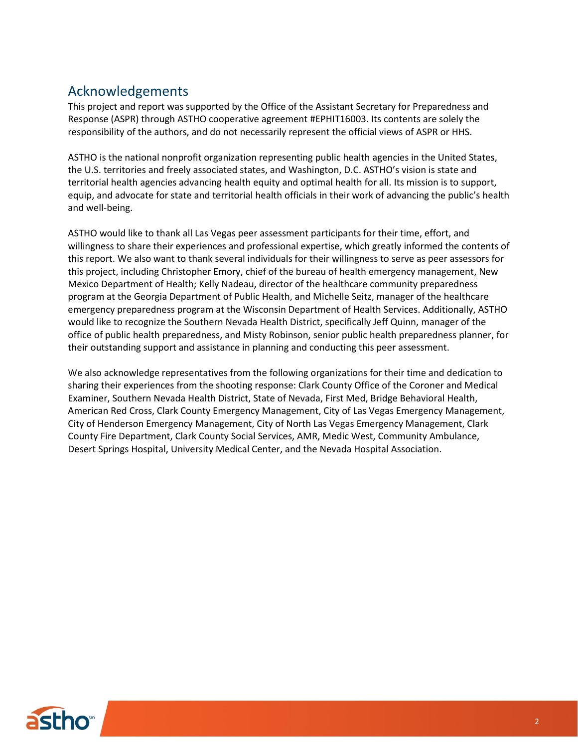# Acknowledgements

This project and report was supported by the Office of the Assistant Secretary for Preparedness and Response (ASPR) through ASTHO cooperative agreement #EPHIT16003. Its contents are solely the responsibility of the authors, and do not necessarily represent the official views of ASPR or HHS.

ASTHO is the national nonprofit organization representing public health agencies in the United States, the U.S. territories and freely associated states, and Washington, D.C. ASTHO's vision is state and territorial health agencies advancing health equity and optimal health for all. Its mission is to support, equip, and advocate for state and territorial health officials in their work of advancing the public's health and well-being.

ASTHO would like to thank all Las Vegas peer assessment participants for their time, effort, and willingness to share their experiences and professional expertise, which greatly informed the contents of this report. We also want to thank several individuals for their willingness to serve as peer assessors for this project, including Christopher Emory, chief of the bureau of health emergency management, New Mexico Department of Health; Kelly Nadeau, director of the healthcare community preparedness program at the Georgia Department of Public Health, and Michelle Seitz, manager of the healthcare emergency preparedness program at the Wisconsin Department of Health Services. Additionally, ASTHO would like to recognize the Southern Nevada Health District, specifically Jeff Quinn, manager of the office of public health preparedness, and Misty Robinson, senior public health preparedness planner, for their outstanding support and assistance in planning and conducting this peer assessment.

We also acknowledge representatives from the following organizations for their time and dedication to sharing their experiences from the shooting response: Clark County Office of the Coroner and Medical Examiner, Southern Nevada Health District, State of Nevada, First Med, Bridge Behavioral Health, American Red Cross, Clark County Emergency Management, City of Las Vegas Emergency Management, City of Henderson Emergency Management, City of North Las Vegas Emergency Management, Clark County Fire Department, Clark County Social Services, AMR, Medic West, Community Ambulance, Desert Springs Hospital, University Medical Center, and the Nevada Hospital Association.

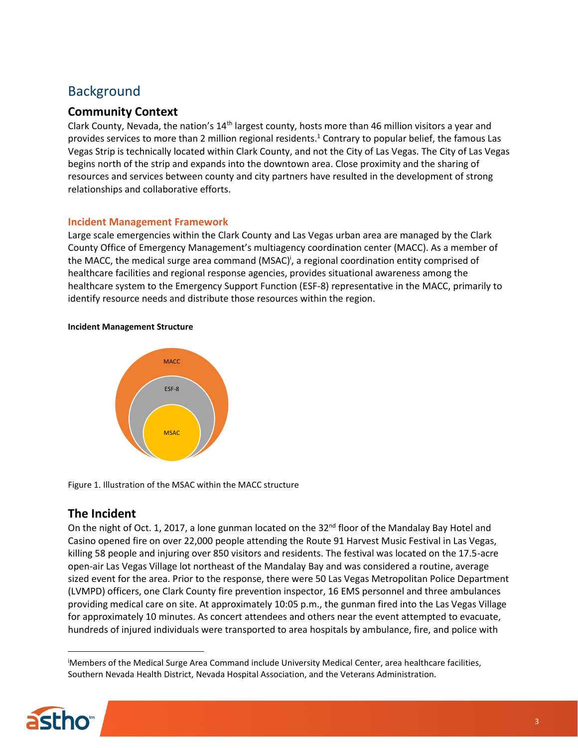# Background

## **Community Context**

Clark County, Nevada, the nation's 14<sup>th</sup> largest county, hosts more than 46 million visitors a year and provides services to more than 2 million regional residents. <sup>1</sup> Contrary to popular belief, the famous Las Vegas Strip is technically located within Clark County, and not the City of Las Vegas. The City of Las Vegas begins north of the strip and expands into the downtown area. Close proximity and the sharing of resources and services between county and city partners have resulted in the development of strong relationships and collaborative efforts.

#### **Incident Management Framework**

Large scale emergencies within the Clark County and Las Vegas urban area are managed by the Clark County Office of Emergency Management's multiagency coordination center (MACC). As a member of the MACC, the medical surge area command (MSAC)<sup>i</sup>, a regional coordination entity comprised of healthcare facilities and regional response agencies, provides situational awareness among the healthcare system to the Emergency Support Function (ESF-8) representative in the MACC, primarily to identify resource needs and distribute those resources within the region.

#### **Incident Management Structure**



Figure 1. Illustration of the MSAC within the MACC structure

## **The Incident**

On the night of Oct. 1, 2017, a lone gunman located on the 32<sup>nd</sup> floor of the Mandalay Bay Hotel and Casino opened fire on over 22,000 people attending the Route 91 Harvest Music Festival in Las Vegas, killing 58 people and injuring over 850 visitors and residents. The festival was located on the 17.5-acre open-air Las Vegas Village lot northeast of the Mandalay Bay and was considered a routine, average sized event for the area. Prior to the response, there were 50 Las Vegas Metropolitan Police Department (LVMPD) officers, one Clark County fire prevention inspector, 16 EMS personnel and three ambulances providing medical care on site. At approximately 10:05 p.m., the gunman fired into the Las Vegas Village for approximately 10 minutes. As concert attendees and others near the event attempted to evacuate, hundreds of injured individuals were transported to area hospitals by ambulance, fire, and police with

<sup>i</sup>Members of the Medical Surge Area Command include University Medical Center, area healthcare facilities, Southern Nevada Health District, Nevada Hospital Association, and the Veterans Administration.



 $\overline{a}$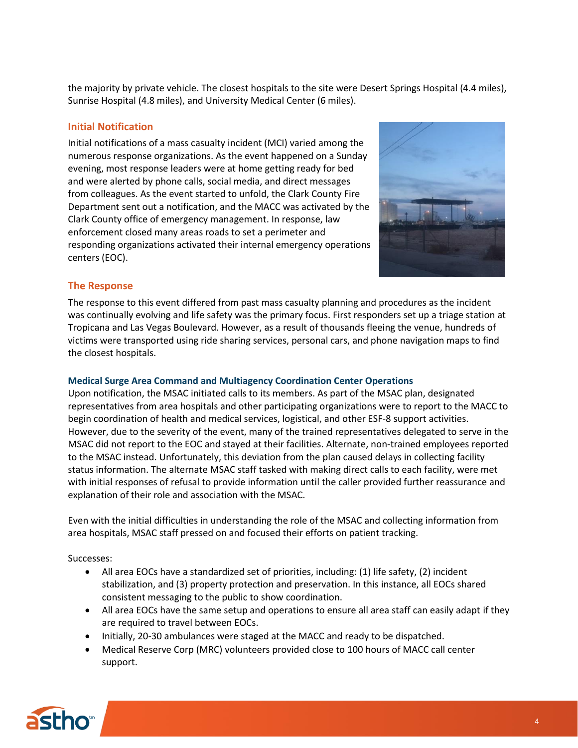the majority by private vehicle. The closest hospitals to the site were Desert Springs Hospital (4.4 miles), Sunrise Hospital (4.8 miles), and University Medical Center (6 miles).

#### **Initial Notification**

Initial notifications of a mass casualty incident (MCI) varied among the numerous response organizations. As the event happened on a Sunday evening, most response leaders were at home getting ready for bed and were alerted by phone calls, social media, and direct messages from colleagues. As the event started to unfold, the Clark County Fire Department sent out a notification, and the MACC was activated by the Clark County office of emergency management. In response, law enforcement closed many areas roads to set a perimeter and responding organizations activated their internal emergency operations centers (EOC).



#### **The Response**

The response to this event differed from past mass casualty planning and procedures as the incident was continually evolving and life safety was the primary focus. First responders set up a triage station at Tropicana and Las Vegas Boulevard. However, as a result of thousands fleeing the venue, hundreds of victims were transported using ride sharing services, personal cars, and phone navigation maps to find the closest hospitals.

#### **Medical Surge Area Command and Multiagency Coordination Center Operations**

Upon notification, the MSAC initiated calls to its members. As part of the MSAC plan, designated representatives from area hospitals and other participating organizations were to report to the MACC to begin coordination of health and medical services, logistical, and other ESF-8 support activities. However, due to the severity of the event, many of the trained representatives delegated to serve in the MSAC did not report to the EOC and stayed at their facilities. Alternate, non-trained employees reported to the MSAC instead. Unfortunately, this deviation from the plan caused delays in collecting facility status information. The alternate MSAC staff tasked with making direct calls to each facility, were met with initial responses of refusal to provide information until the caller provided further reassurance and explanation of their role and association with the MSAC.

Even with the initial difficulties in understanding the role of the MSAC and collecting information from area hospitals, MSAC staff pressed on and focused their efforts on patient tracking.

Successes:

- All area EOCs have a standardized set of priorities, including: (1) life safety, (2) incident stabilization, and (3) property protection and preservation. In this instance, all EOCs shared consistent messaging to the public to show coordination.
- All area EOCs have the same setup and operations to ensure all area staff can easily adapt if they are required to travel between EOCs.
- Initially, 20-30 ambulances were staged at the MACC and ready to be dispatched.
- Medical Reserve Corp (MRC) volunteers provided close to 100 hours of MACC call center support.

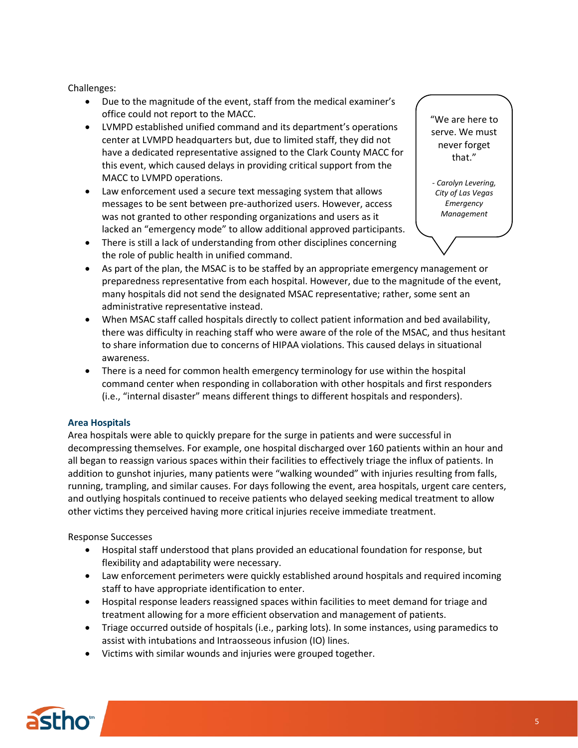Challenges:

- Due to the magnitude of the event, staff from the medical examiner's office could not report to the MACC.
- LVMPD established unified command and its department's operations center at LVMPD headquarters but, due to limited staff, they did not have a dedicated representative assigned to the Clark County MACC for this event, which caused delays in providing critical support from the MACC to LVMPD operations.
- Law enforcement used a secure text messaging system that allows messages to be sent between pre-authorized users. However, access was not granted to other responding organizations and users as it lacked an "emergency mode" to allow additional approved participants.
- There is still a lack of understanding from other disciplines concerning the role of public health in unified command.

"We are here to serve. We must never forget that."

*- Carolyn Levering, City of Las Vegas Emergency Management*

- As part of the plan, the MSAC is to be staffed by an appropriate emergency management or preparedness representative from each hospital. However, due to the magnitude of the event, many hospitals did not send the designated MSAC representative; rather, some sent an administrative representative instead.
- When MSAC staff called hospitals directly to collect patient information and bed availability, there was difficulty in reaching staff who were aware of the role of the MSAC, and thus hesitant to share information due to concerns of HIPAA violations. This caused delays in situational awareness.
- There is a need for common health emergency terminology for use within the hospital command center when responding in collaboration with other hospitals and first responders (i.e., "internal disaster" means different things to different hospitals and responders).

#### **Area Hospitals**

Area hospitals were able to quickly prepare for the surge in patients and were successful in decompressing themselves. For example, one hospital discharged over 160 patients within an hour and all began to reassign various spaces within their facilities to effectively triage the influx of patients. In addition to gunshot injuries, many patients were "walking wounded" with injuries resulting from falls, running, trampling, and similar causes. For days following the event, area hospitals, urgent care centers, and outlying hospitals continued to receive patients who delayed seeking medical treatment to allow other victims they perceived having more critical injuries receive immediate treatment.

#### Response Successes

- Hospital staff understood that plans provided an educational foundation for response, but flexibility and adaptability were necessary.
- Law enforcement perimeters were quickly established around hospitals and required incoming staff to have appropriate identification to enter.
- Hospital response leaders reassigned spaces within facilities to meet demand for triage and treatment allowing for a more efficient observation and management of patients.
- Triage occurred outside of hospitals (i.e., parking lots). In some instances, using paramedics to assist with intubations and Intraosseous infusion (IO) lines.
- Victims with similar wounds and injuries were grouped together.

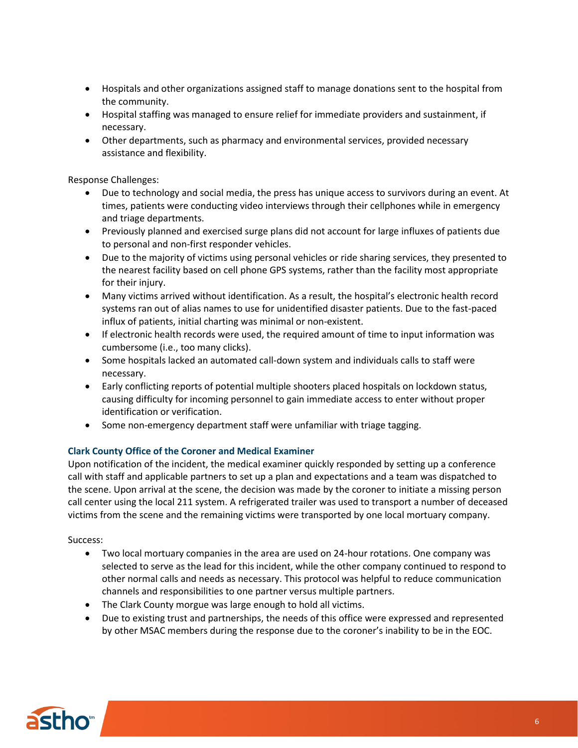- Hospitals and other organizations assigned staff to manage donations sent to the hospital from the community.
- Hospital staffing was managed to ensure relief for immediate providers and sustainment, if necessary.
- Other departments, such as pharmacy and environmental services, provided necessary assistance and flexibility.

Response Challenges:

- Due to technology and social media, the press has unique access to survivors during an event. At times, patients were conducting video interviews through their cellphones while in emergency and triage departments.
- Previously planned and exercised surge plans did not account for large influxes of patients due to personal and non-first responder vehicles.
- Due to the majority of victims using personal vehicles or ride sharing services, they presented to the nearest facility based on cell phone GPS systems, rather than the facility most appropriate for their injury.
- Many victims arrived without identification. As a result, the hospital's electronic health record systems ran out of alias names to use for unidentified disaster patients. Due to the fast-paced influx of patients, initial charting was minimal or non-existent.
- If electronic health records were used, the required amount of time to input information was cumbersome (i.e., too many clicks).
- Some hospitals lacked an automated call-down system and individuals calls to staff were necessary.
- Early conflicting reports of potential multiple shooters placed hospitals on lockdown status, causing difficulty for incoming personnel to gain immediate access to enter without proper identification or verification.
- Some non-emergency department staff were unfamiliar with triage tagging.

#### **Clark County Office of the Coroner and Medical Examiner**

Upon notification of the incident, the medical examiner quickly responded by setting up a conference call with staff and applicable partners to set up a plan and expectations and a team was dispatched to the scene. Upon arrival at the scene, the decision was made by the coroner to initiate a missing person call center using the local 211 system. A refrigerated trailer was used to transport a number of deceased victims from the scene and the remaining victims were transported by one local mortuary company.

#### Success:

- Two local mortuary companies in the area are used on 24-hour rotations. One company was selected to serve as the lead for this incident, while the other company continued to respond to other normal calls and needs as necessary. This protocol was helpful to reduce communication channels and responsibilities to one partner versus multiple partners.
- The Clark County morgue was large enough to hold all victims.
- Due to existing trust and partnerships, the needs of this office were expressed and represented by other MSAC members during the response due to the coroner's inability to be in the EOC.

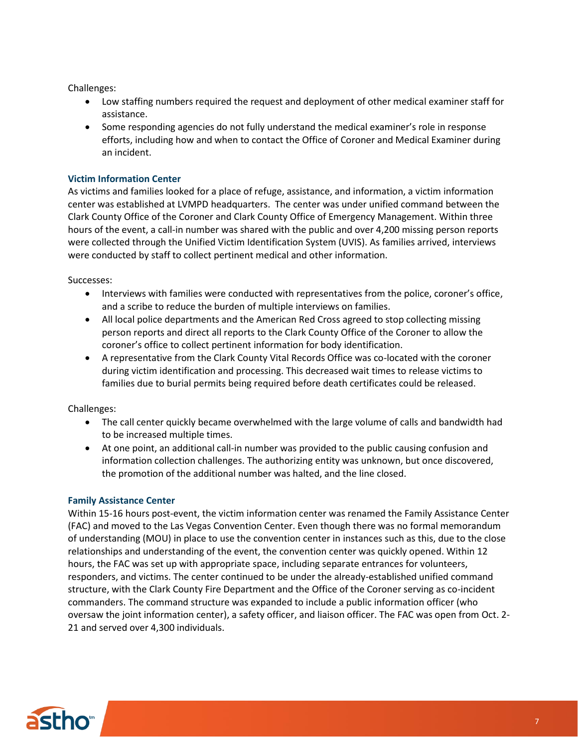Challenges:

- Low staffing numbers required the request and deployment of other medical examiner staff for assistance.
- Some responding agencies do not fully understand the medical examiner's role in response efforts, including how and when to contact the Office of Coroner and Medical Examiner during an incident.

#### **Victim Information Center**

As victims and families looked for a place of refuge, assistance, and information, a victim information center was established at LVMPD headquarters. The center was under unified command between the Clark County Office of the Coroner and Clark County Office of Emergency Management. Within three hours of the event, a call-in number was shared with the public and over 4,200 missing person reports were collected through the Unified Victim Identification System (UVIS). As families arrived, interviews were conducted by staff to collect pertinent medical and other information.

Successes:

- Interviews with families were conducted with representatives from the police, coroner's office, and a scribe to reduce the burden of multiple interviews on families.
- All local police departments and the American Red Cross agreed to stop collecting missing person reports and direct all reports to the Clark County Office of the Coroner to allow the coroner's office to collect pertinent information for body identification.
- A representative from the Clark County Vital Records Office was co-located with the coroner during victim identification and processing. This decreased wait times to release victims to families due to burial permits being required before death certificates could be released.

Challenges:

- The call center quickly became overwhelmed with the large volume of calls and bandwidth had to be increased multiple times.
- At one point, an additional call-in number was provided to the public causing confusion and information collection challenges. The authorizing entity was unknown, but once discovered, the promotion of the additional number was halted, and the line closed.

#### **Family Assistance Center**

Within 15-16 hours post-event, the victim information center was renamed the Family Assistance Center (FAC) and moved to the Las Vegas Convention Center. Even though there was no formal memorandum of understanding (MOU) in place to use the convention center in instances such as this, due to the close relationships and understanding of the event, the convention center was quickly opened. Within 12 hours, the FAC was set up with appropriate space, including separate entrances for volunteers, responders, and victims. The center continued to be under the already-established unified command structure, with the Clark County Fire Department and the Office of the Coroner serving as co-incident commanders. The command structure was expanded to include a public information officer (who oversaw the joint information center), a safety officer, and liaison officer. The FAC was open from Oct. 2- 21 and served over 4,300 individuals.

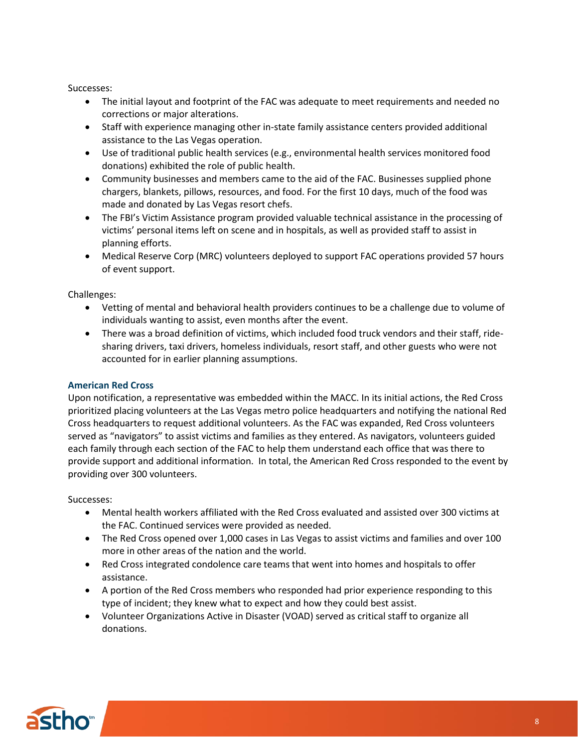Successes:

- The initial layout and footprint of the FAC was adequate to meet requirements and needed no corrections or major alterations.
- Staff with experience managing other in-state family assistance centers provided additional assistance to the Las Vegas operation.
- Use of traditional public health services (e.g., environmental health services monitored food donations) exhibited the role of public health.
- Community businesses and members came to the aid of the FAC. Businesses supplied phone chargers, blankets, pillows, resources, and food. For the first 10 days, much of the food was made and donated by Las Vegas resort chefs.
- The FBI's Victim Assistance program provided valuable technical assistance in the processing of victims' personal items left on scene and in hospitals, as well as provided staff to assist in planning efforts.
- Medical Reserve Corp (MRC) volunteers deployed to support FAC operations provided 57 hours of event support.

Challenges:

- Vetting of mental and behavioral health providers continues to be a challenge due to volume of individuals wanting to assist, even months after the event.
- There was a broad definition of victims, which included food truck vendors and their staff, ridesharing drivers, taxi drivers, homeless individuals, resort staff, and other guests who were not accounted for in earlier planning assumptions.

#### **American Red Cross**

Upon notification, a representative was embedded within the MACC. In its initial actions, the Red Cross prioritized placing volunteers at the Las Vegas metro police headquarters and notifying the national Red Cross headquarters to request additional volunteers. As the FAC was expanded, Red Cross volunteers served as "navigators" to assist victims and families as they entered. As navigators, volunteers guided each family through each section of the FAC to help them understand each office that was there to provide support and additional information. In total, the American Red Cross responded to the event by providing over 300 volunteers.

Successes:

- Mental health workers affiliated with the Red Cross evaluated and assisted over 300 victims at the FAC. Continued services were provided as needed.
- The Red Cross opened over 1,000 cases in Las Vegas to assist victims and families and over 100 more in other areas of the nation and the world.
- Red Cross integrated condolence care teams that went into homes and hospitals to offer assistance.
- A portion of the Red Cross members who responded had prior experience responding to this type of incident; they knew what to expect and how they could best assist.
- Volunteer Organizations Active in Disaster (VOAD) served as critical staff to organize all donations.

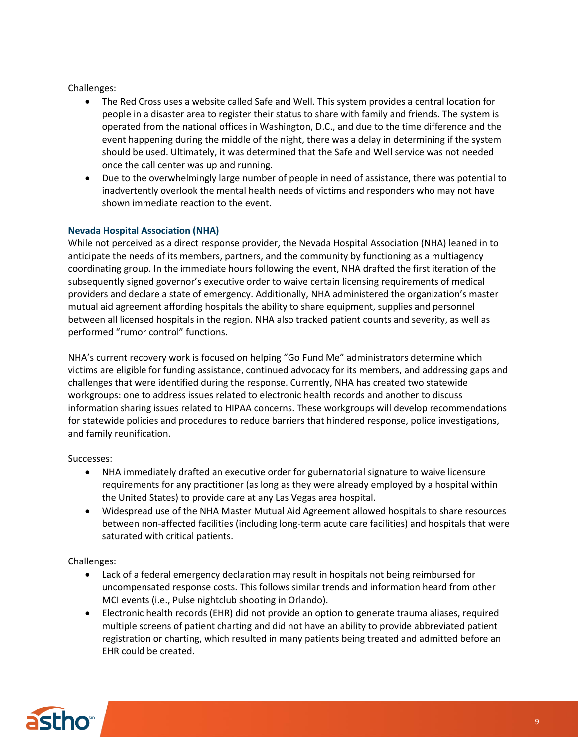Challenges:

- The Red Cross uses a website called Safe and Well. This system provides a central location for people in a disaster area to register their status to share with family and friends. The system is operated from the national offices in Washington, D.C., and due to the time difference and the event happening during the middle of the night, there was a delay in determining if the system should be used. Ultimately, it was determined that the Safe and Well service was not needed once the call center was up and running.
- Due to the overwhelmingly large number of people in need of assistance, there was potential to inadvertently overlook the mental health needs of victims and responders who may not have shown immediate reaction to the event.

#### **Nevada Hospital Association (NHA)**

While not perceived as a direct response provider, the Nevada Hospital Association (NHA) leaned in to anticipate the needs of its members, partners, and the community by functioning as a multiagency coordinating group. In the immediate hours following the event, NHA drafted the first iteration of the subsequently signed governor's executive order to waive certain licensing requirements of medical providers and declare a state of emergency. Additionally, NHA administered the organization's master mutual aid agreement affording hospitals the ability to share equipment, supplies and personnel between all licensed hospitals in the region. NHA also tracked patient counts and severity, as well as performed "rumor control" functions.

NHA's current recovery work is focused on helping "Go Fund Me" administrators determine which victims are eligible for funding assistance, continued advocacy for its members, and addressing gaps and challenges that were identified during the response. Currently, NHA has created two statewide workgroups: one to address issues related to electronic health records and another to discuss information sharing issues related to HIPAA concerns. These workgroups will develop recommendations for statewide policies and procedures to reduce barriers that hindered response, police investigations, and family reunification.

Successes:

- NHA immediately drafted an executive order for gubernatorial signature to waive licensure requirements for any practitioner (as long as they were already employed by a hospital within the United States) to provide care at any Las Vegas area hospital.
- Widespread use of the NHA Master Mutual Aid Agreement allowed hospitals to share resources between non-affected facilities (including long-term acute care facilities) and hospitals that were saturated with critical patients.

Challenges:

- Lack of a federal emergency declaration may result in hospitals not being reimbursed for uncompensated response costs. This follows similar trends and information heard from other MCI events (i.e., Pulse nightclub shooting in Orlando).
- Electronic health records (EHR) did not provide an option to generate trauma aliases, required multiple screens of patient charting and did not have an ability to provide abbreviated patient registration or charting, which resulted in many patients being treated and admitted before an EHR could be created.

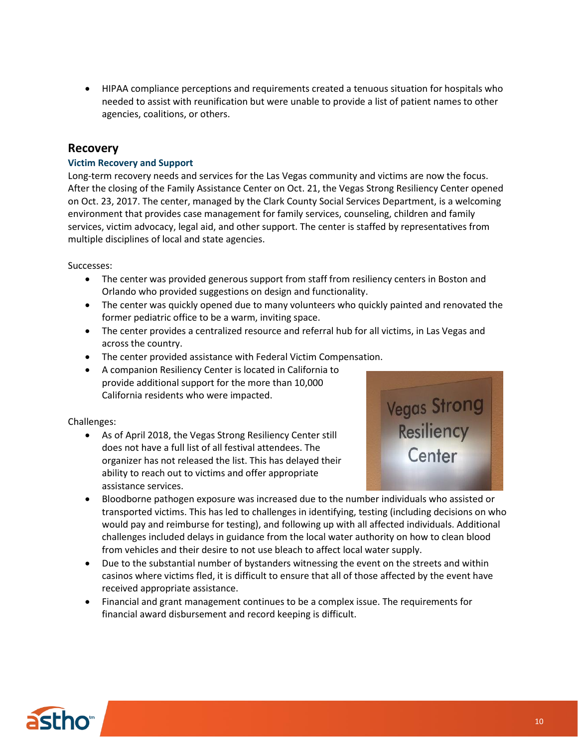• HIPAA compliance perceptions and requirements created a tenuous situation for hospitals who needed to assist with reunification but were unable to provide a list of patient names to other agencies, coalitions, or others.

## **Recovery**

#### **Victim Recovery and Support**

Long-term recovery needs and services for the Las Vegas community and victims are now the focus. After the closing of the Family Assistance Center on Oct. 21, the Vegas Strong Resiliency Center opened on Oct. 23, 2017. The center, managed by the Clark County Social Services Department, is a welcoming environment that provides case management for family services, counseling, children and family services, victim advocacy, legal aid, and other support. The center is staffed by representatives from multiple disciplines of local and state agencies.

Successes:

- The center was provided generous support from staff from resiliency centers in Boston and Orlando who provided suggestions on design and functionality.
- The center was quickly opened due to many volunteers who quickly painted and renovated the former pediatric office to be a warm, inviting space.
- The center provides a centralized resource and referral hub for all victims, in Las Vegas and across the country.
- The center provided assistance with Federal Victim Compensation.
- A companion Resiliency Center is located in California to provide additional support for the more than 10,000 California residents who were impacted.

#### Challenges:

• As of April 2018, the Vegas Strong Resiliency Center still does not have a full list of all festival attendees. The organizer has not released the list. This has delayed their ability to reach out to victims and offer appropriate assistance services.



- Bloodborne pathogen exposure was increased due to the number individuals who assisted or transported victims. This has led to challenges in identifying, testing (including decisions on who would pay and reimburse for testing), and following up with all affected individuals. Additional challenges included delays in guidance from the local water authority on how to clean blood from vehicles and their desire to not use bleach to affect local water supply.
- Due to the substantial number of bystanders witnessing the event on the streets and within casinos where victims fled, it is difficult to ensure that all of those affected by the event have received appropriate assistance.
- Financial and grant management continues to be a complex issue. The requirements for financial award disbursement and record keeping is difficult.

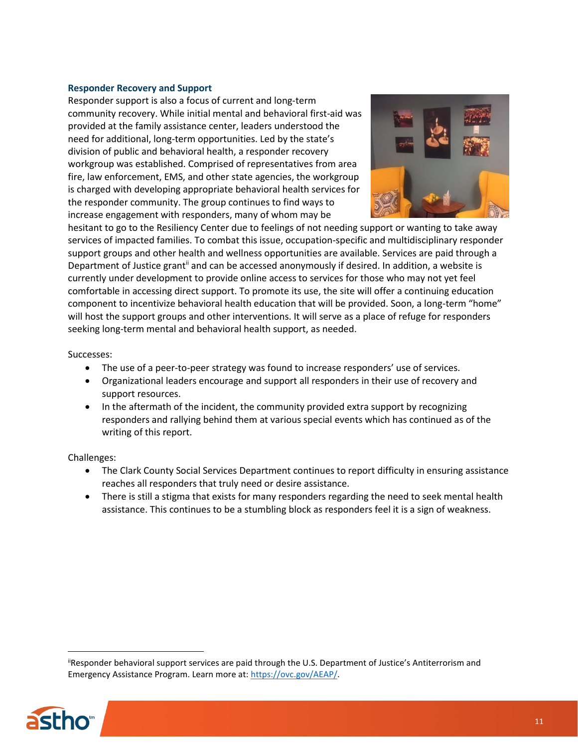#### **Responder Recovery and Support**

Responder support is also a focus of current and long-term community recovery. While initial mental and behavioral first-aid was provided at the family assistance center, leaders understood the need for additional, long-term opportunities. Led by the state's division of public and behavioral health, a responder recovery workgroup was established. Comprised of representatives from area fire, law enforcement, EMS, and other state agencies, the workgroup is charged with developing appropriate behavioral health services for the responder community. The group continues to find ways to increase engagement with responders, many of whom may be



hesitant to go to the Resiliency Center due to feelings of not needing support or wanting to take away services of impacted families. To combat this issue, occupation-specific and multidisciplinary responder support groups and other health and wellness opportunities are available. Services are paid through a Department of Justice grant<sup>ii</sup> and can be accessed anonymously if desired. In addition, a website is currently under development to provide online access to services for those who may not yet feel comfortable in accessing direct support. To promote its use, the site will offer a continuing education component to incentivize behavioral health education that will be provided. Soon, a long-term "home" will host the support groups and other interventions. It will serve as a place of refuge for responders seeking long-term mental and behavioral health support, as needed.

Successes:

- The use of a peer-to-peer strategy was found to increase responders' use of services.
- Organizational leaders encourage and support all responders in their use of recovery and support resources.
- In the aftermath of the incident, the community provided extra support by recognizing responders and rallying behind them at various special events which has continued as of the writing of this report.

#### Challenges:

- The Clark County Social Services Department continues to report difficulty in ensuring assistance reaches all responders that truly need or desire assistance.
- There is still a stigma that exists for many responders regarding the need to seek mental health assistance. This continues to be a stumbling block as responders feel it is a sign of weakness.

<sup>&</sup>lt;sup>ii</sup>Responder behavioral support services are paid through the U.S. Department of Justice's Antiterrorism and Emergency Assistance Program. Learn more at[: https://ovc.gov/AEAP/.](https://ovc.gov/AEAP/)



 $\overline{a}$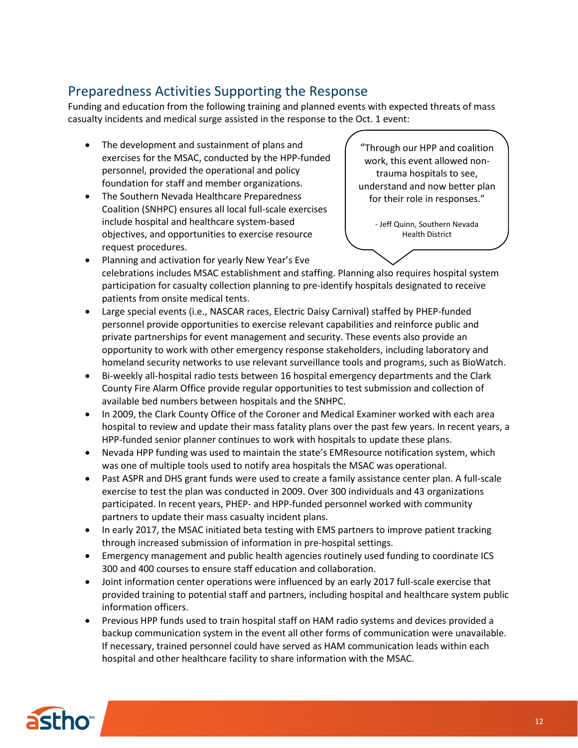# Preparedness Activities Supporting the Response

Funding and education from the following training and planned events with expected threats of mass casualty incidents and medical surge assisted in the response to the Oct. 1 event:

- The development and sustainment of plans and exercises for the MSAC, conducted by the HPP-funded personnel, provided the operational and policy foundation for staff and member organizations.
- The Southern Nevada Healthcare Preparedness Coalition (SNHPC) ensures all local full-scale exercises include hospital and healthcare system-based objectives, and opportunities to exercise resource request procedures.

"Through our HPP and coalition work, this event allowed nontrauma hospitals to see, understand and now better plan for their role in responses."

> - Jeff Quinn, Southern Nevada Health District

- Planning and activation for yearly New Year's Eve celebrations includes MSAC establishment and staffing. Planning also requires hospital system participation for casualty collection planning to pre-identify hospitals designated to receive patients from onsite medical tents.
- Large special events (i.e., NASCAR races, Electric Daisy Carnival) staffed by PHEP-funded personnel provide opportunities to exercise relevant capabilities and reinforce public and private partnerships for event management and security. These events also provide an opportunity to work with other emergency response stakeholders, including laboratory and homeland security networks to use relevant surveillance tools and programs, such as BioWatch.
- Bi-weekly all-hospital radio tests between 16 hospital emergency departments and the Clark County Fire Alarm Office provide regular opportunities to test submission and collection of available bed numbers between hospitals and the SNHPC.
- In 2009, the Clark County Office of the Coroner and Medical Examiner worked with each area hospital to review and update their mass fatality plans over the past few years. In recent years, a HPP-funded senior planner continues to work with hospitals to update these plans.
- Nevada HPP funding was used to maintain the state's EMResource notification system, which was one of multiple tools used to notify area hospitals the MSAC was operational.
- Past ASPR and DHS grant funds were used to create a family assistance center plan. A full-scale exercise to test the plan was conducted in 2009. Over 300 individuals and 43 organizations participated. In recent years, PHEP- and HPP-funded personnel worked with community partners to update their mass casualty incident plans.
- In early 2017, the MSAC initiated beta testing with EMS partners to improve patient tracking through increased submission of information in pre-hospital settings.
- Emergency management and public health agencies routinely used funding to coordinate ICS 300 and 400 courses to ensure staff education and collaboration.
- Joint information center operations were influenced by an early 2017 full-scale exercise that provided training to potential staff and partners, including hospital and healthcare system public information officers.
- Previous HPP funds used to train hospital staff on HAM radio systems and devices provided a backup communication system in the event all other forms of communication were unavailable. If necessary, trained personnel could have served as HAM communication leads within each hospital and other healthcare facility to share information with the MSAC.

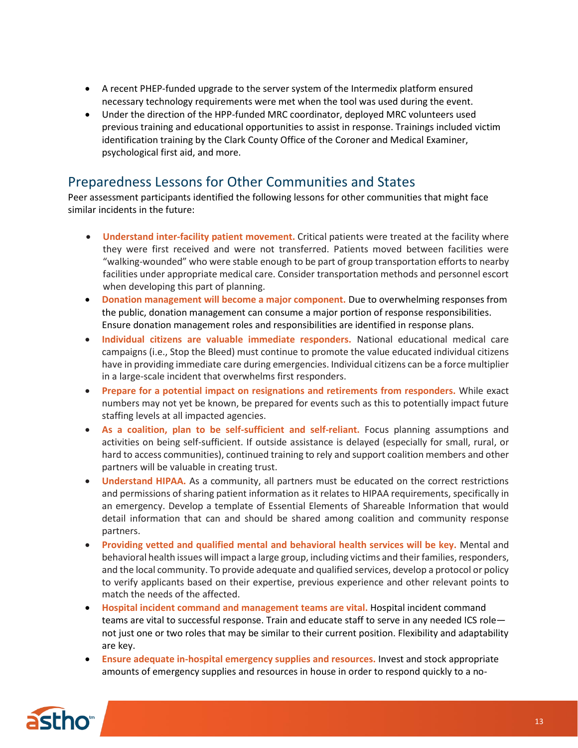- A recent PHEP-funded upgrade to the server system of the Intermedix platform ensured necessary technology requirements were met when the tool was used during the event.
- Under the direction of the HPP-funded MRC coordinator, deployed MRC volunteers used previous training and educational opportunities to assist in response. Trainings included victim identification training by the Clark County Office of the Coroner and Medical Examiner, psychological first aid, and more.

# Preparedness Lessons for Other Communities and States

Peer assessment participants identified the following lessons for other communities that might face similar incidents in the future:

- **Understand inter-facility patient movement.** Critical patients were treated at the facility where they were first received and were not transferred. Patients moved between facilities were "walking-wounded" who were stable enough to be part of group transportation efforts to nearby facilities under appropriate medical care. Consider transportation methods and personnel escort when developing this part of planning.
- **Donation management will become a major component.** Due to overwhelming responses from the public, donation management can consume a major portion of response responsibilities. Ensure donation management roles and responsibilities are identified in response plans.
- **Individual citizens are valuable immediate responders.** National educational medical care campaigns (i.e., Stop the Bleed) must continue to promote the value educated individual citizens have in providing immediate care during emergencies. Individual citizens can be a force multiplier in a large-scale incident that overwhelms first responders.
- **Prepare for a potential impact on resignations and retirements from responders.** While exact numbers may not yet be known, be prepared for events such as this to potentially impact future staffing levels at all impacted agencies.
- **As a coalition, plan to be self-sufficient and self-reliant.** Focus planning assumptions and activities on being self-sufficient. If outside assistance is delayed (especially for small, rural, or hard to access communities), continued training to rely and support coalition members and other partners will be valuable in creating trust.
- **Understand HIPAA.** As a community, all partners must be educated on the correct restrictions and permissions of sharing patient information as it relates to HIPAA requirements, specifically in an emergency. Develop a template of Essential Elements of Shareable Information that would detail information that can and should be shared among coalition and community response partners.
- **Providing vetted and qualified mental and behavioral health services will be key.** Mental and behavioral health issues will impact a large group, including victims and their families, responders, and the local community. To provide adequate and qualified services, develop a protocol or policy to verify applicants based on their expertise, previous experience and other relevant points to match the needs of the affected.
- **Hospital incident command and management teams are vital.** Hospital incident command teams are vital to successful response. Train and educate staff to serve in any needed ICS role not just one or two roles that may be similar to their current position. Flexibility and adaptability are key.
- **Ensure adequate in-hospital emergency supplies and resources.** Invest and stock appropriate amounts of emergency supplies and resources in house in order to respond quickly to a no-

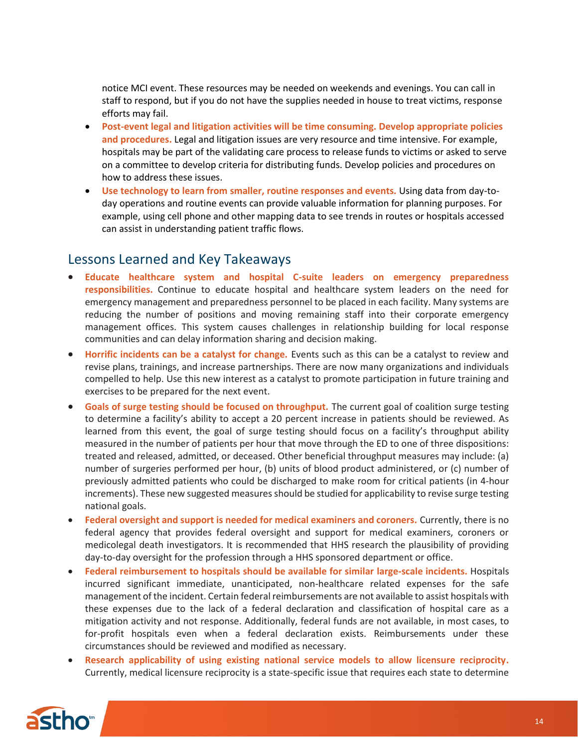notice MCI event. These resources may be needed on weekends and evenings. You can call in staff to respond, but if you do not have the supplies needed in house to treat victims, response efforts may fail.

- **Post-event legal and litigation activities will be time consuming. Develop appropriate policies and procedures.** Legal and litigation issues are very resource and time intensive. For example, hospitals may be part of the validating care process to release funds to victims or asked to serve on a committee to develop criteria for distributing funds. Develop policies and procedures on how to address these issues.
- **Use technology to learn from smaller, routine responses and events.** Using data from day-today operations and routine events can provide valuable information for planning purposes. For example, using cell phone and other mapping data to see trends in routes or hospitals accessed can assist in understanding patient traffic flows.

## Lessons Learned and Key Takeaways

- **Educate healthcare system and hospital C-suite leaders on emergency preparedness responsibilities.** Continue to educate hospital and healthcare system leaders on the need for emergency management and preparedness personnel to be placed in each facility. Many systems are reducing the number of positions and moving remaining staff into their corporate emergency management offices. This system causes challenges in relationship building for local response communities and can delay information sharing and decision making.
- **Horrific incidents can be a catalyst for change.** Events such as this can be a catalyst to review and revise plans, trainings, and increase partnerships. There are now many organizations and individuals compelled to help. Use this new interest as a catalyst to promote participation in future training and exercises to be prepared for the next event.
- **Goals of surge testing should be focused on throughput.** The current goal of coalition surge testing to determine a facility's ability to accept a 20 percent increase in patients should be reviewed. As learned from this event, the goal of surge testing should focus on a facility's throughput ability measured in the number of patients per hour that move through the ED to one of three dispositions: treated and released, admitted, or deceased. Other beneficial throughput measures may include: (a) number of surgeries performed per hour, (b) units of blood product administered, or (c) number of previously admitted patients who could be discharged to make room for critical patients (in 4-hour increments). These new suggested measures should be studied for applicability to revise surge testing national goals.
- **Federal oversight and support is needed for medical examiners and coroners.** Currently, there is no federal agency that provides federal oversight and support for medical examiners, coroners or medicolegal death investigators. It is recommended that HHS research the plausibility of providing day-to-day oversight for the profession through a HHS sponsored department or office.
- **Federal reimbursement to hospitals should be available for similar large-scale incidents.** Hospitals incurred significant immediate, unanticipated, non-healthcare related expenses for the safe management of the incident. Certain federal reimbursements are not available to assist hospitals with these expenses due to the lack of a federal declaration and classification of hospital care as a mitigation activity and not response. Additionally, federal funds are not available, in most cases, to for-profit hospitals even when a federal declaration exists. Reimbursements under these circumstances should be reviewed and modified as necessary.
- **Research applicability of using existing national service models to allow licensure reciprocity.** Currently, medical licensure reciprocity is a state-specific issue that requires each state to determine